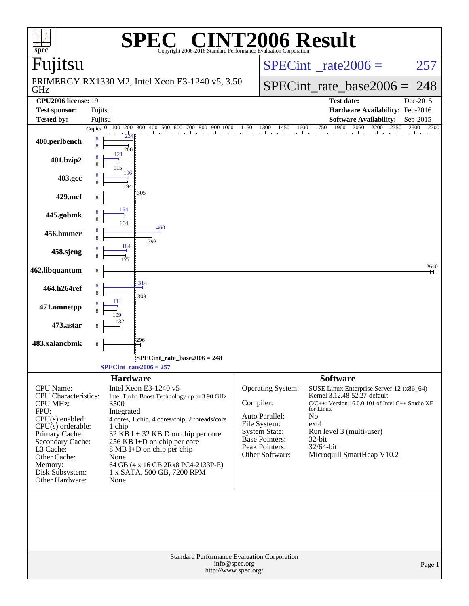| $spec^*$                                           | $\blacksquare$<br>Copyright 2006-2016 Standard Performance Evaluation Corporation                                                                                                                            | <b>INT2006 Result</b>             |                                                                                       |
|----------------------------------------------------|--------------------------------------------------------------------------------------------------------------------------------------------------------------------------------------------------------------|-----------------------------------|---------------------------------------------------------------------------------------|
| Fujitsu                                            |                                                                                                                                                                                                              |                                   | $SPECint^{\circ}$ <sub>_rate2006</sub> =<br>257                                       |
| GHz                                                | PRIMERGY RX1330 M2, Intel Xeon E3-1240 v5, 3.50                                                                                                                                                              |                                   | SPECint rate base $2006 = 248$                                                        |
| <b>CPU2006</b> license: 19<br><b>Test sponsor:</b> | Fujitsu                                                                                                                                                                                                      |                                   | <b>Test date:</b><br>Dec-2015<br>Hardware Availability: Feb-2016                      |
| <b>Tested by:</b>                                  | Fujitsu                                                                                                                                                                                                      |                                   | <b>Software Availability:</b><br>Sep-2015                                             |
| 8<br>400.perlbench                                 | <b>Copies</b> $\begin{bmatrix} 0 & 100 & 200 & 300 & 400 & 500 & 600 & 700 & 800 & 900 & 1000 & 1150 & 1300 & 1450 & 1600 & 1750 & 1900 & 2050 & 2200 & 2350 & 2500 & 2700 \end{bmatrix}$<br>8<br>200<br>121 |                                   | 1900<br>2700                                                                          |
| 401.bzip2                                          | 196                                                                                                                                                                                                          |                                   |                                                                                       |
| 403.gcc                                            | 194                                                                                                                                                                                                          |                                   |                                                                                       |
| 429.mcf                                            | 305                                                                                                                                                                                                          |                                   |                                                                                       |
| 445.gobmk                                          | 164                                                                                                                                                                                                          |                                   |                                                                                       |
| 456.hmmer                                          | 460<br>392                                                                                                                                                                                                   |                                   |                                                                                       |
| 458.sjeng                                          | 184                                                                                                                                                                                                          |                                   |                                                                                       |
| 462.libquantum                                     | 8                                                                                                                                                                                                            |                                   | 2640                                                                                  |
| 464.h264ref                                        | 314<br>8<br>308                                                                                                                                                                                              |                                   |                                                                                       |
| 471.omnetpp                                        |                                                                                                                                                                                                              |                                   |                                                                                       |
| 473.astar                                          |                                                                                                                                                                                                              |                                   |                                                                                       |
| 483.xalancbmk<br>8                                 | 296                                                                                                                                                                                                          |                                   |                                                                                       |
|                                                    | SPECint rate base $2006 = 248$<br>$SPECint_rate2006 = 257$                                                                                                                                                   |                                   |                                                                                       |
| CPU Name:                                          | <b>Hardware</b><br>Intel Xeon E3-1240 v5                                                                                                                                                                     | Operating System:                 | <b>Software</b><br>SUSE Linux Enterprise Server 12 (x86_64)                           |
| <b>CPU</b> Characteristics:                        | Intel Turbo Boost Technology up to 3.90 GHz                                                                                                                                                                  | Compiler:                         | Kernel 3.12.48-52.27-default<br>$C/C++$ : Version 16.0.0.101 of Intel $C++$ Studio XE |
| <b>CPU MHz:</b><br>FPU:                            | 3500<br>Integrated                                                                                                                                                                                           |                                   | for Linux                                                                             |
| $CPU(s)$ enabled:                                  | 4 cores, 1 chip, 4 cores/chip, 2 threads/core                                                                                                                                                                | Auto Parallel:<br>File System:    | No<br>$ext{4}$                                                                        |
| $CPU(s)$ orderable:<br>Primary Cache:              | 1 chip<br>$32$ KB I + 32 KB D on chip per core                                                                                                                                                               | <b>System State:</b>              | Run level 3 (multi-user)                                                              |
| Secondary Cache:                                   | 256 KB I+D on chip per core                                                                                                                                                                                  | Base Pointers:                    | $32$ -bit                                                                             |
| L3 Cache:                                          | 8 MB I+D on chip per chip                                                                                                                                                                                    | Peak Pointers:<br>Other Software: | 32/64-bit<br>Microquill SmartHeap V10.2                                               |
| Other Cache:<br>Memory:                            | None<br>64 GB (4 x 16 GB 2Rx8 PC4-2133P-E)                                                                                                                                                                   |                                   |                                                                                       |
| Disk Subsystem:                                    | 1 x SATA, 500 GB, 7200 RPM                                                                                                                                                                                   |                                   |                                                                                       |
| Other Hardware:                                    | None                                                                                                                                                                                                         |                                   |                                                                                       |
|                                                    |                                                                                                                                                                                                              |                                   |                                                                                       |
|                                                    | Standard Performance Evaluation Corporation<br>info@spec.org<br>http://www.spec.org/                                                                                                                         |                                   | Page 1                                                                                |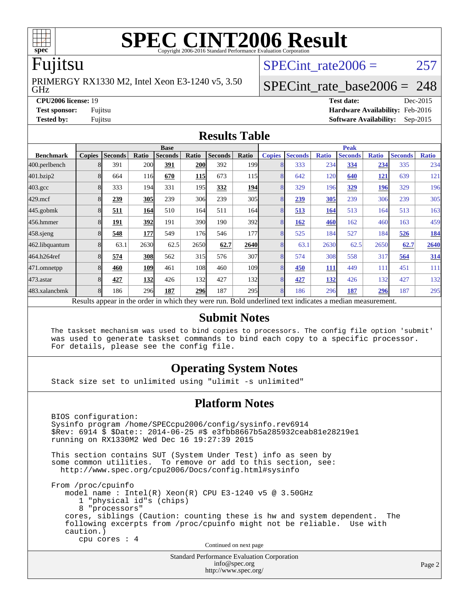

# **[SPEC CINT2006 Result](http://www.spec.org/auto/cpu2006/Docs/result-fields.html#SPECCINT2006Result)**

### Fujitsu

GHz PRIMERGY RX1330 M2, Intel Xeon E3-1240 v5, 3.50 SPECint rate $2006 = 257$ 

### [SPECint\\_rate\\_base2006 =](http://www.spec.org/auto/cpu2006/Docs/result-fields.html#SPECintratebase2006) 248

**[CPU2006 license:](http://www.spec.org/auto/cpu2006/Docs/result-fields.html#CPU2006license)** 19 **[Test date:](http://www.spec.org/auto/cpu2006/Docs/result-fields.html#Testdate)** Dec-2015 **[Test sponsor:](http://www.spec.org/auto/cpu2006/Docs/result-fields.html#Testsponsor)** Fujitsu **[Hardware Availability:](http://www.spec.org/auto/cpu2006/Docs/result-fields.html#HardwareAvailability)** Feb-2016 **[Tested by:](http://www.spec.org/auto/cpu2006/Docs/result-fields.html#Testedby)** Fujitsu **[Software Availability:](http://www.spec.org/auto/cpu2006/Docs/result-fields.html#SoftwareAvailability)** Sep-2015

### **[Results Table](http://www.spec.org/auto/cpu2006/Docs/result-fields.html#ResultsTable)**

|                                                                                                          | <b>Base</b>   |                |       |                |            |                | <b>Peak</b>      |               |                |              |                |              |                |              |
|----------------------------------------------------------------------------------------------------------|---------------|----------------|-------|----------------|------------|----------------|------------------|---------------|----------------|--------------|----------------|--------------|----------------|--------------|
| <b>Benchmark</b>                                                                                         | <b>Copies</b> | <b>Seconds</b> | Ratio | <b>Seconds</b> | Ratio      | <b>Seconds</b> | Ratio            | <b>Copies</b> | <b>Seconds</b> | <b>Ratio</b> | <b>Seconds</b> | <b>Ratio</b> | <b>Seconds</b> | <b>Ratio</b> |
| 400.perlbench                                                                                            | 8             | 391            | 200   | 391            | 200        | 392            | 199 <sub>1</sub> | 8             | 333            | 234          | 334            | 234          | 335            | 234          |
| 401.bzip2                                                                                                | 8             | 664            | 116   | 670            | <b>115</b> | 673            | 115              | 8             | 642            | 120          | 640            | <u>121</u>   | 639            | 121          |
| $403.\mathrm{gcc}$                                                                                       | 8             | 333            | 194   | 331            | 195I       | 332            | <b>194</b>       | 8             | 329            | 196          | 329            | 196          | 329            | 196          |
| $429$ .mcf                                                                                               | 8             | 239            | 305   | 239            | 306        | 239            | 305              | 8             | 239            | 305          | 239            | 306          | 239            | 305          |
| $445$ .gobm $k$                                                                                          | 8             | 511            | 164   | 510            | 164        | 511            | 164l             | 8             | 513            | 164          | 513            | 164          | 513            | 163          |
| 456.hmmer                                                                                                | 8             | 191            | 392   | 191            | <b>390</b> | 190            | 392l             | 8             | 162            | 460          | 162            | 460          | 163            | 459          |
| $458$ .sjeng                                                                                             | 8             | 548            | 177   | 549            | 176I       | 546            | 177              | 8             | 525            | 184          | 527            | 184          | 526            | <b>184</b>   |
| 462.libquantum                                                                                           | 8             | 63.1           | 2630  | 62.5           | 2650       | 62.7           | 2640             | 8             | 63.1           | 2630         | 62.5           | 2650         | 62.7           | 2640         |
| 464.h264ref                                                                                              | 8             | 574            | 308   | 562            | 315        | 576            | 307              | 8             | 574            | 308          | 558            | 317          | 564            | 314          |
| 471.omnetpp                                                                                              | 8             | 460            | 109   | 461            | 108        | 460            | 109 <sub>1</sub> | 8             | 450            | <b>111</b>   | 449            | 111          | 451            | 111          |
| $473$ . astar                                                                                            | 8             | 427            | 132   | 426            | 132        | 427            | <b>132</b>       | 8             | 427            | 132          | 426            | 132          | 427            | 132          |
| 483.xalancbmk                                                                                            | 8             | 186            | 296   | 187            | <b>296</b> | 187            | 295 <sup>I</sup> | 8             | 186            | 296          | 187            | 296          | 187            | 295          |
| Results appear in the order in which they were run. Bold underlined text indicates a median measurement. |               |                |       |                |            |                |                  |               |                |              |                |              |                |              |

### **[Submit Notes](http://www.spec.org/auto/cpu2006/Docs/result-fields.html#SubmitNotes)**

 The taskset mechanism was used to bind copies to processors. The config file option 'submit' was used to generate taskset commands to bind each copy to a specific processor. For details, please see the config file.

### **[Operating System Notes](http://www.spec.org/auto/cpu2006/Docs/result-fields.html#OperatingSystemNotes)**

Stack size set to unlimited using "ulimit -s unlimited"

### **[Platform Notes](http://www.spec.org/auto/cpu2006/Docs/result-fields.html#PlatformNotes)**

 BIOS configuration: Sysinfo program /home/SPECcpu2006/config/sysinfo.rev6914 \$Rev: 6914 \$ \$Date:: 2014-06-25 #\$ e3fbb8667b5a285932ceab81e28219e1 running on RX1330M2 Wed Dec 16 19:27:39 2015 This section contains SUT (System Under Test) info as seen by some common utilities. To remove or add to this section, see: <http://www.spec.org/cpu2006/Docs/config.html#sysinfo> From /proc/cpuinfo model name : Intel(R) Xeon(R) CPU E3-1240 v5 @ 3.50GHz 1 "physical id"s (chips) 8 "processors" cores, siblings (Caution: counting these is hw and system dependent. The following excerpts from /proc/cpuinfo might not be reliable. Use with caution.) cpu cores : 4 Continued on next page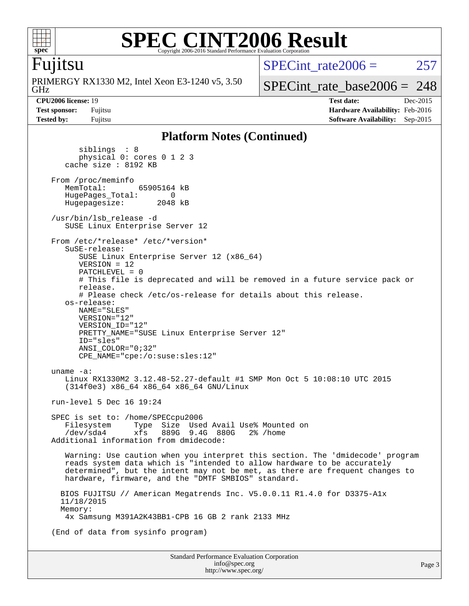

### **[SPEC CINT2006 Result](http://www.spec.org/auto/cpu2006/Docs/result-fields.html#SPECCINT2006Result)** Copyright 2006-2016 Standard Performance Evaluation Corporation

### Fujitsu

GHz PRIMERGY RX1330 M2, Intel Xeon E3-1240 v5, 3.50 SPECint rate $2006 = 257$ 

[SPECint\\_rate\\_base2006 =](http://www.spec.org/auto/cpu2006/Docs/result-fields.html#SPECintratebase2006) 248

**[CPU2006 license:](http://www.spec.org/auto/cpu2006/Docs/result-fields.html#CPU2006license)** 19 **[Test date:](http://www.spec.org/auto/cpu2006/Docs/result-fields.html#Testdate)** Dec-2015 **[Test sponsor:](http://www.spec.org/auto/cpu2006/Docs/result-fields.html#Testsponsor)** Fujitsu **[Hardware Availability:](http://www.spec.org/auto/cpu2006/Docs/result-fields.html#HardwareAvailability)** Feb-2016 **[Tested by:](http://www.spec.org/auto/cpu2006/Docs/result-fields.html#Testedby)** Fujitsu **[Software Availability:](http://www.spec.org/auto/cpu2006/Docs/result-fields.html#SoftwareAvailability)** Sep-2015

### **[Platform Notes \(Continued\)](http://www.spec.org/auto/cpu2006/Docs/result-fields.html#PlatformNotes)**

 siblings : 8 physical 0: cores 0 1 2 3 cache size : 8192 KB From /proc/meminfo<br>MemTotal: 65905164 kB HugePages\_Total: 0<br>Hugepagesize: 2048 kB Hugepagesize: /usr/bin/lsb\_release -d SUSE Linux Enterprise Server 12 From /etc/\*release\* /etc/\*version\* SuSE-release: SUSE Linux Enterprise Server 12 (x86\_64) VERSION = 12 PATCHLEVEL = 0 # This file is deprecated and will be removed in a future service pack or release. # Please check /etc/os-release for details about this release. os-release: NAME="SLES" VERSION="12" VERSION\_ID="12" PRETTY NAME="SUSE Linux Enterprise Server 12" ID="sles" ANSI\_COLOR="0;32" CPE\_NAME="cpe:/o:suse:sles:12" uname -a: Linux RX1330M2 3.12.48-52.27-default #1 SMP Mon Oct 5 10:08:10 UTC 2015 (314f0e3) x86\_64 x86\_64 x86\_64 GNU/Linux run-level 5 Dec 16 19:24 SPEC is set to: /home/SPECcpu2006 Filesystem Type Size Used Avail Use% Mounted on /dev/sda4 xfs 889G 9.4G 880G 2% /home Additional information from dmidecode: Warning: Use caution when you interpret this section. The 'dmidecode' program reads system data which is "intended to allow hardware to be accurately determined", but the intent may not be met, as there are frequent changes to hardware, firmware, and the "DMTF SMBIOS" standard. BIOS FUJITSU // American Megatrends Inc. V5.0.0.11 R1.4.0 for D3375-A1x 11/18/2015 Memory: 4x Samsung M391A2K43BB1-CPB 16 GB 2 rank 2133 MHz (End of data from sysinfo program)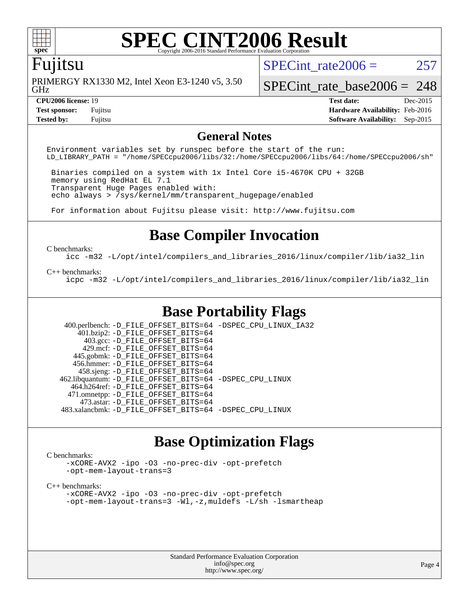

# **[SPEC CINT2006 Result](http://www.spec.org/auto/cpu2006/Docs/result-fields.html#SPECCINT2006Result)**

### Fujitsu

GHz PRIMERGY RX1330 M2, Intel Xeon E3-1240 v5, 3.50 SPECint rate $2006 = 257$ 

[SPECint\\_rate\\_base2006 =](http://www.spec.org/auto/cpu2006/Docs/result-fields.html#SPECintratebase2006) 248

**[Tested by:](http://www.spec.org/auto/cpu2006/Docs/result-fields.html#Testedby)** Fujitsu **[Software Availability:](http://www.spec.org/auto/cpu2006/Docs/result-fields.html#SoftwareAvailability)** Sep-2015

**[CPU2006 license:](http://www.spec.org/auto/cpu2006/Docs/result-fields.html#CPU2006license)** 19 **[Test date:](http://www.spec.org/auto/cpu2006/Docs/result-fields.html#Testdate)** Dec-2015 **[Test sponsor:](http://www.spec.org/auto/cpu2006/Docs/result-fields.html#Testsponsor)** Fujitsu **[Hardware Availability:](http://www.spec.org/auto/cpu2006/Docs/result-fields.html#HardwareAvailability)** Feb-2016

### **[General Notes](http://www.spec.org/auto/cpu2006/Docs/result-fields.html#GeneralNotes)**

Environment variables set by runspec before the start of the run: LD\_LIBRARY\_PATH = "/home/SPECcpu2006/libs/32:/home/SPECcpu2006/libs/64:/home/SPECcpu2006/sh"

 Binaries compiled on a system with 1x Intel Core i5-4670K CPU + 32GB memory using RedHat EL 7.1 Transparent Huge Pages enabled with: echo always > /sys/kernel/mm/transparent\_hugepage/enabled

For information about Fujitsu please visit: <http://www.fujitsu.com>

### **[Base Compiler Invocation](http://www.spec.org/auto/cpu2006/Docs/result-fields.html#BaseCompilerInvocation)**

### [C benchmarks](http://www.spec.org/auto/cpu2006/Docs/result-fields.html#Cbenchmarks):

[icc -m32 -L/opt/intel/compilers\\_and\\_libraries\\_2016/linux/compiler/lib/ia32\\_lin](http://www.spec.org/cpu2006/results/res2016q1/cpu2006-20160111-38674.flags.html#user_CCbase_intel_icc_e10256ba5924b668798078a321b0cb3f)

### [C++ benchmarks:](http://www.spec.org/auto/cpu2006/Docs/result-fields.html#CXXbenchmarks)

[icpc -m32 -L/opt/intel/compilers\\_and\\_libraries\\_2016/linux/compiler/lib/ia32\\_lin](http://www.spec.org/cpu2006/results/res2016q1/cpu2006-20160111-38674.flags.html#user_CXXbase_intel_icpc_b4f50a394bdb4597aa5879c16bc3f5c5)

### **[Base Portability Flags](http://www.spec.org/auto/cpu2006/Docs/result-fields.html#BasePortabilityFlags)**

 400.perlbench: [-D\\_FILE\\_OFFSET\\_BITS=64](http://www.spec.org/cpu2006/results/res2016q1/cpu2006-20160111-38674.flags.html#user_basePORTABILITY400_perlbench_file_offset_bits_64_438cf9856305ebd76870a2c6dc2689ab) [-DSPEC\\_CPU\\_LINUX\\_IA32](http://www.spec.org/cpu2006/results/res2016q1/cpu2006-20160111-38674.flags.html#b400.perlbench_baseCPORTABILITY_DSPEC_CPU_LINUX_IA32) 401.bzip2: [-D\\_FILE\\_OFFSET\\_BITS=64](http://www.spec.org/cpu2006/results/res2016q1/cpu2006-20160111-38674.flags.html#user_basePORTABILITY401_bzip2_file_offset_bits_64_438cf9856305ebd76870a2c6dc2689ab) 403.gcc: [-D\\_FILE\\_OFFSET\\_BITS=64](http://www.spec.org/cpu2006/results/res2016q1/cpu2006-20160111-38674.flags.html#user_basePORTABILITY403_gcc_file_offset_bits_64_438cf9856305ebd76870a2c6dc2689ab) 429.mcf: [-D\\_FILE\\_OFFSET\\_BITS=64](http://www.spec.org/cpu2006/results/res2016q1/cpu2006-20160111-38674.flags.html#user_basePORTABILITY429_mcf_file_offset_bits_64_438cf9856305ebd76870a2c6dc2689ab) 445.gobmk: [-D\\_FILE\\_OFFSET\\_BITS=64](http://www.spec.org/cpu2006/results/res2016q1/cpu2006-20160111-38674.flags.html#user_basePORTABILITY445_gobmk_file_offset_bits_64_438cf9856305ebd76870a2c6dc2689ab) 456.hmmer: [-D\\_FILE\\_OFFSET\\_BITS=64](http://www.spec.org/cpu2006/results/res2016q1/cpu2006-20160111-38674.flags.html#user_basePORTABILITY456_hmmer_file_offset_bits_64_438cf9856305ebd76870a2c6dc2689ab) 458.sjeng: [-D\\_FILE\\_OFFSET\\_BITS=64](http://www.spec.org/cpu2006/results/res2016q1/cpu2006-20160111-38674.flags.html#user_basePORTABILITY458_sjeng_file_offset_bits_64_438cf9856305ebd76870a2c6dc2689ab) 462.libquantum: [-D\\_FILE\\_OFFSET\\_BITS=64](http://www.spec.org/cpu2006/results/res2016q1/cpu2006-20160111-38674.flags.html#user_basePORTABILITY462_libquantum_file_offset_bits_64_438cf9856305ebd76870a2c6dc2689ab) [-DSPEC\\_CPU\\_LINUX](http://www.spec.org/cpu2006/results/res2016q1/cpu2006-20160111-38674.flags.html#b462.libquantum_baseCPORTABILITY_DSPEC_CPU_LINUX) 464.h264ref: [-D\\_FILE\\_OFFSET\\_BITS=64](http://www.spec.org/cpu2006/results/res2016q1/cpu2006-20160111-38674.flags.html#user_basePORTABILITY464_h264ref_file_offset_bits_64_438cf9856305ebd76870a2c6dc2689ab) 471.omnetpp: [-D\\_FILE\\_OFFSET\\_BITS=64](http://www.spec.org/cpu2006/results/res2016q1/cpu2006-20160111-38674.flags.html#user_basePORTABILITY471_omnetpp_file_offset_bits_64_438cf9856305ebd76870a2c6dc2689ab) 473.astar: [-D\\_FILE\\_OFFSET\\_BITS=64](http://www.spec.org/cpu2006/results/res2016q1/cpu2006-20160111-38674.flags.html#user_basePORTABILITY473_astar_file_offset_bits_64_438cf9856305ebd76870a2c6dc2689ab) 483.xalancbmk: [-D\\_FILE\\_OFFSET\\_BITS=64](http://www.spec.org/cpu2006/results/res2016q1/cpu2006-20160111-38674.flags.html#user_basePORTABILITY483_xalancbmk_file_offset_bits_64_438cf9856305ebd76870a2c6dc2689ab) [-DSPEC\\_CPU\\_LINUX](http://www.spec.org/cpu2006/results/res2016q1/cpu2006-20160111-38674.flags.html#b483.xalancbmk_baseCXXPORTABILITY_DSPEC_CPU_LINUX)

### **[Base Optimization Flags](http://www.spec.org/auto/cpu2006/Docs/result-fields.html#BaseOptimizationFlags)**

### [C benchmarks](http://www.spec.org/auto/cpu2006/Docs/result-fields.html#Cbenchmarks):

[-xCORE-AVX2](http://www.spec.org/cpu2006/results/res2016q1/cpu2006-20160111-38674.flags.html#user_CCbase_f-xAVX2_5f5fc0cbe2c9f62c816d3e45806c70d7) [-ipo](http://www.spec.org/cpu2006/results/res2016q1/cpu2006-20160111-38674.flags.html#user_CCbase_f-ipo) [-O3](http://www.spec.org/cpu2006/results/res2016q1/cpu2006-20160111-38674.flags.html#user_CCbase_f-O3) [-no-prec-div](http://www.spec.org/cpu2006/results/res2016q1/cpu2006-20160111-38674.flags.html#user_CCbase_f-no-prec-div) [-opt-prefetch](http://www.spec.org/cpu2006/results/res2016q1/cpu2006-20160111-38674.flags.html#user_CCbase_f-opt-prefetch) [-opt-mem-layout-trans=3](http://www.spec.org/cpu2006/results/res2016q1/cpu2006-20160111-38674.flags.html#user_CCbase_f-opt-mem-layout-trans_a7b82ad4bd7abf52556d4961a2ae94d5)

### [C++ benchmarks:](http://www.spec.org/auto/cpu2006/Docs/result-fields.html#CXXbenchmarks)

[-xCORE-AVX2](http://www.spec.org/cpu2006/results/res2016q1/cpu2006-20160111-38674.flags.html#user_CXXbase_f-xAVX2_5f5fc0cbe2c9f62c816d3e45806c70d7) [-ipo](http://www.spec.org/cpu2006/results/res2016q1/cpu2006-20160111-38674.flags.html#user_CXXbase_f-ipo) [-O3](http://www.spec.org/cpu2006/results/res2016q1/cpu2006-20160111-38674.flags.html#user_CXXbase_f-O3) [-no-prec-div](http://www.spec.org/cpu2006/results/res2016q1/cpu2006-20160111-38674.flags.html#user_CXXbase_f-no-prec-div) [-opt-prefetch](http://www.spec.org/cpu2006/results/res2016q1/cpu2006-20160111-38674.flags.html#user_CXXbase_f-opt-prefetch) [-opt-mem-layout-trans=3](http://www.spec.org/cpu2006/results/res2016q1/cpu2006-20160111-38674.flags.html#user_CXXbase_f-opt-mem-layout-trans_a7b82ad4bd7abf52556d4961a2ae94d5) [-Wl,-z,muldefs](http://www.spec.org/cpu2006/results/res2016q1/cpu2006-20160111-38674.flags.html#user_CXXbase_link_force_multiple1_74079c344b956b9658436fd1b6dd3a8a) [-L/sh -lsmartheap](http://www.spec.org/cpu2006/results/res2016q1/cpu2006-20160111-38674.flags.html#user_CXXbase_SmartHeap_32f6c82aa1ed9c52345d30cf6e4a0499)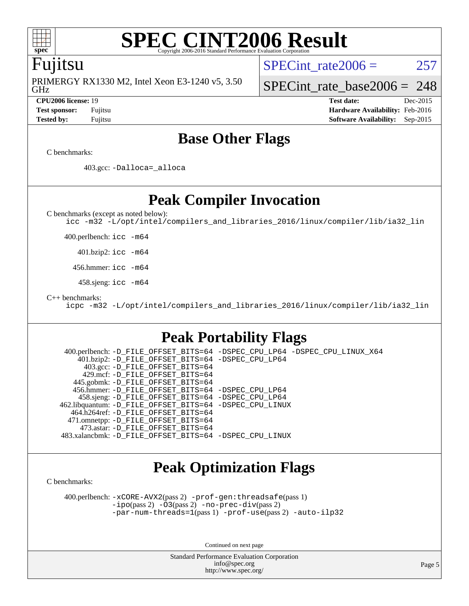

### **[SPEC CINT2006 Result](http://www.spec.org/auto/cpu2006/Docs/result-fields.html#SPECCINT2006Result)** Copyright 2006-2016 Standard Performance Evaluation

### Fujitsu

GHz PRIMERGY RX1330 M2, Intel Xeon E3-1240 v5, 3.50 SPECint rate $2006 = 257$ 

### [SPECint\\_rate\\_base2006 =](http://www.spec.org/auto/cpu2006/Docs/result-fields.html#SPECintratebase2006) 248

**[CPU2006 license:](http://www.spec.org/auto/cpu2006/Docs/result-fields.html#CPU2006license)** 19 **[Test date:](http://www.spec.org/auto/cpu2006/Docs/result-fields.html#Testdate)** Dec-2015 **[Test sponsor:](http://www.spec.org/auto/cpu2006/Docs/result-fields.html#Testsponsor)** Fujitsu **[Hardware Availability:](http://www.spec.org/auto/cpu2006/Docs/result-fields.html#HardwareAvailability)** Feb-2016 **[Tested by:](http://www.spec.org/auto/cpu2006/Docs/result-fields.html#Testedby)** Fujitsu **[Software Availability:](http://www.spec.org/auto/cpu2006/Docs/result-fields.html#SoftwareAvailability)** Sep-2015

## **[Base Other Flags](http://www.spec.org/auto/cpu2006/Docs/result-fields.html#BaseOtherFlags)**

[C benchmarks](http://www.spec.org/auto/cpu2006/Docs/result-fields.html#Cbenchmarks):

403.gcc: [-Dalloca=\\_alloca](http://www.spec.org/cpu2006/results/res2016q1/cpu2006-20160111-38674.flags.html#b403.gcc_baseEXTRA_CFLAGS_Dalloca_be3056838c12de2578596ca5467af7f3)

**[Peak Compiler Invocation](http://www.spec.org/auto/cpu2006/Docs/result-fields.html#PeakCompilerInvocation)**

[C benchmarks \(except as noted below\)](http://www.spec.org/auto/cpu2006/Docs/result-fields.html#Cbenchmarksexceptasnotedbelow):

[icc -m32 -L/opt/intel/compilers\\_and\\_libraries\\_2016/linux/compiler/lib/ia32\\_lin](http://www.spec.org/cpu2006/results/res2016q1/cpu2006-20160111-38674.flags.html#user_CCpeak_intel_icc_e10256ba5924b668798078a321b0cb3f)

400.perlbench: [icc -m64](http://www.spec.org/cpu2006/results/res2016q1/cpu2006-20160111-38674.flags.html#user_peakCCLD400_perlbench_intel_icc_64bit_bda6cc9af1fdbb0edc3795bac97ada53)

401.bzip2: [icc -m64](http://www.spec.org/cpu2006/results/res2016q1/cpu2006-20160111-38674.flags.html#user_peakCCLD401_bzip2_intel_icc_64bit_bda6cc9af1fdbb0edc3795bac97ada53)

456.hmmer: [icc -m64](http://www.spec.org/cpu2006/results/res2016q1/cpu2006-20160111-38674.flags.html#user_peakCCLD456_hmmer_intel_icc_64bit_bda6cc9af1fdbb0edc3795bac97ada53)

458.sjeng: [icc -m64](http://www.spec.org/cpu2006/results/res2016q1/cpu2006-20160111-38674.flags.html#user_peakCCLD458_sjeng_intel_icc_64bit_bda6cc9af1fdbb0edc3795bac97ada53)

[C++ benchmarks:](http://www.spec.org/auto/cpu2006/Docs/result-fields.html#CXXbenchmarks)

[icpc -m32 -L/opt/intel/compilers\\_and\\_libraries\\_2016/linux/compiler/lib/ia32\\_lin](http://www.spec.org/cpu2006/results/res2016q1/cpu2006-20160111-38674.flags.html#user_CXXpeak_intel_icpc_b4f50a394bdb4597aa5879c16bc3f5c5)

### **[Peak Portability Flags](http://www.spec.org/auto/cpu2006/Docs/result-fields.html#PeakPortabilityFlags)**

 400.perlbench: [-D\\_FILE\\_OFFSET\\_BITS=64](http://www.spec.org/cpu2006/results/res2016q1/cpu2006-20160111-38674.flags.html#user_peakPORTABILITY400_perlbench_file_offset_bits_64_438cf9856305ebd76870a2c6dc2689ab) [-DSPEC\\_CPU\\_LP64](http://www.spec.org/cpu2006/results/res2016q1/cpu2006-20160111-38674.flags.html#b400.perlbench_peakCPORTABILITY_DSPEC_CPU_LP64) [-DSPEC\\_CPU\\_LINUX\\_X64](http://www.spec.org/cpu2006/results/res2016q1/cpu2006-20160111-38674.flags.html#b400.perlbench_peakCPORTABILITY_DSPEC_CPU_LINUX_X64) 401.bzip2: [-D\\_FILE\\_OFFSET\\_BITS=64](http://www.spec.org/cpu2006/results/res2016q1/cpu2006-20160111-38674.flags.html#user_peakPORTABILITY401_bzip2_file_offset_bits_64_438cf9856305ebd76870a2c6dc2689ab) [-DSPEC\\_CPU\\_LP64](http://www.spec.org/cpu2006/results/res2016q1/cpu2006-20160111-38674.flags.html#suite_peakCPORTABILITY401_bzip2_DSPEC_CPU_LP64) 403.gcc: [-D\\_FILE\\_OFFSET\\_BITS=64](http://www.spec.org/cpu2006/results/res2016q1/cpu2006-20160111-38674.flags.html#user_peakPORTABILITY403_gcc_file_offset_bits_64_438cf9856305ebd76870a2c6dc2689ab) 429.mcf: [-D\\_FILE\\_OFFSET\\_BITS=64](http://www.spec.org/cpu2006/results/res2016q1/cpu2006-20160111-38674.flags.html#user_peakPORTABILITY429_mcf_file_offset_bits_64_438cf9856305ebd76870a2c6dc2689ab) 445.gobmk: [-D\\_FILE\\_OFFSET\\_BITS=64](http://www.spec.org/cpu2006/results/res2016q1/cpu2006-20160111-38674.flags.html#user_peakPORTABILITY445_gobmk_file_offset_bits_64_438cf9856305ebd76870a2c6dc2689ab) 456.hmmer: [-D\\_FILE\\_OFFSET\\_BITS=64](http://www.spec.org/cpu2006/results/res2016q1/cpu2006-20160111-38674.flags.html#user_peakPORTABILITY456_hmmer_file_offset_bits_64_438cf9856305ebd76870a2c6dc2689ab) [-DSPEC\\_CPU\\_LP64](http://www.spec.org/cpu2006/results/res2016q1/cpu2006-20160111-38674.flags.html#suite_peakCPORTABILITY456_hmmer_DSPEC_CPU_LP64) 458.sjeng: [-D\\_FILE\\_OFFSET\\_BITS=64](http://www.spec.org/cpu2006/results/res2016q1/cpu2006-20160111-38674.flags.html#user_peakPORTABILITY458_sjeng_file_offset_bits_64_438cf9856305ebd76870a2c6dc2689ab) [-DSPEC\\_CPU\\_LP64](http://www.spec.org/cpu2006/results/res2016q1/cpu2006-20160111-38674.flags.html#suite_peakCPORTABILITY458_sjeng_DSPEC_CPU_LP64) 462.libquantum: [-D\\_FILE\\_OFFSET\\_BITS=64](http://www.spec.org/cpu2006/results/res2016q1/cpu2006-20160111-38674.flags.html#user_peakPORTABILITY462_libquantum_file_offset_bits_64_438cf9856305ebd76870a2c6dc2689ab) [-DSPEC\\_CPU\\_LINUX](http://www.spec.org/cpu2006/results/res2016q1/cpu2006-20160111-38674.flags.html#b462.libquantum_peakCPORTABILITY_DSPEC_CPU_LINUX) 464.h264ref: [-D\\_FILE\\_OFFSET\\_BITS=64](http://www.spec.org/cpu2006/results/res2016q1/cpu2006-20160111-38674.flags.html#user_peakPORTABILITY464_h264ref_file_offset_bits_64_438cf9856305ebd76870a2c6dc2689ab) 471.omnetpp: [-D\\_FILE\\_OFFSET\\_BITS=64](http://www.spec.org/cpu2006/results/res2016q1/cpu2006-20160111-38674.flags.html#user_peakPORTABILITY471_omnetpp_file_offset_bits_64_438cf9856305ebd76870a2c6dc2689ab) 473.astar: [-D\\_FILE\\_OFFSET\\_BITS=64](http://www.spec.org/cpu2006/results/res2016q1/cpu2006-20160111-38674.flags.html#user_peakPORTABILITY473_astar_file_offset_bits_64_438cf9856305ebd76870a2c6dc2689ab) 483.xalancbmk: [-D\\_FILE\\_OFFSET\\_BITS=64](http://www.spec.org/cpu2006/results/res2016q1/cpu2006-20160111-38674.flags.html#user_peakPORTABILITY483_xalancbmk_file_offset_bits_64_438cf9856305ebd76870a2c6dc2689ab) [-DSPEC\\_CPU\\_LINUX](http://www.spec.org/cpu2006/results/res2016q1/cpu2006-20160111-38674.flags.html#b483.xalancbmk_peakCXXPORTABILITY_DSPEC_CPU_LINUX)

## **[Peak Optimization Flags](http://www.spec.org/auto/cpu2006/Docs/result-fields.html#PeakOptimizationFlags)**

[C benchmarks](http://www.spec.org/auto/cpu2006/Docs/result-fields.html#Cbenchmarks):

 400.perlbench: [-xCORE-AVX2](http://www.spec.org/cpu2006/results/res2016q1/cpu2006-20160111-38674.flags.html#user_peakPASS2_CFLAGSPASS2_LDCFLAGS400_perlbench_f-xAVX2_5f5fc0cbe2c9f62c816d3e45806c70d7)(pass 2) [-prof-gen:threadsafe](http://www.spec.org/cpu2006/results/res2016q1/cpu2006-20160111-38674.flags.html#user_peakPASS1_CFLAGSPASS1_LDCFLAGS400_perlbench_prof_gen_21a26eb79f378b550acd7bec9fe4467a)(pass 1) [-ipo](http://www.spec.org/cpu2006/results/res2016q1/cpu2006-20160111-38674.flags.html#user_peakPASS2_CFLAGSPASS2_LDCFLAGS400_perlbench_f-ipo)(pass 2) [-O3](http://www.spec.org/cpu2006/results/res2016q1/cpu2006-20160111-38674.flags.html#user_peakPASS2_CFLAGSPASS2_LDCFLAGS400_perlbench_f-O3)(pass 2) [-no-prec-div](http://www.spec.org/cpu2006/results/res2016q1/cpu2006-20160111-38674.flags.html#user_peakPASS2_CFLAGSPASS2_LDCFLAGS400_perlbench_f-no-prec-div)(pass 2) [-par-num-threads=1](http://www.spec.org/cpu2006/results/res2016q1/cpu2006-20160111-38674.flags.html#user_peakPASS1_CFLAGSPASS1_LDCFLAGS400_perlbench_par_num_threads_786a6ff141b4e9e90432e998842df6c2)(pass 1) [-prof-use](http://www.spec.org/cpu2006/results/res2016q1/cpu2006-20160111-38674.flags.html#user_peakPASS2_CFLAGSPASS2_LDCFLAGS400_perlbench_prof_use_bccf7792157ff70d64e32fe3e1250b55)(pass 2) [-auto-ilp32](http://www.spec.org/cpu2006/results/res2016q1/cpu2006-20160111-38674.flags.html#user_peakCOPTIMIZE400_perlbench_f-auto-ilp32)

Continued on next page

Standard Performance Evaluation Corporation [info@spec.org](mailto:info@spec.org) <http://www.spec.org/>

Page 5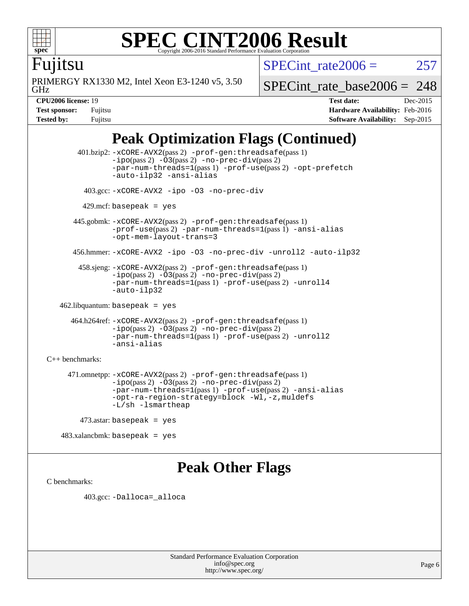

### **[SPEC CINT2006 Result](http://www.spec.org/auto/cpu2006/Docs/result-fields.html#SPECCINT2006Result)** Copyright 2006-2016 Standard Performance Evaluation C

SPECint rate $2006 = 257$ 

Fujitsu

GHz PRIMERGY RX1330 M2, Intel Xeon E3-1240 v5, 3.50 [SPECint\\_rate\\_base2006 =](http://www.spec.org/auto/cpu2006/Docs/result-fields.html#SPECintratebase2006) 248

**[CPU2006 license:](http://www.spec.org/auto/cpu2006/Docs/result-fields.html#CPU2006license)** 19 **[Test date:](http://www.spec.org/auto/cpu2006/Docs/result-fields.html#Testdate)** Dec-2015 **[Test sponsor:](http://www.spec.org/auto/cpu2006/Docs/result-fields.html#Testsponsor)** Fujitsu **[Hardware Availability:](http://www.spec.org/auto/cpu2006/Docs/result-fields.html#HardwareAvailability)** Feb-2016 **[Tested by:](http://www.spec.org/auto/cpu2006/Docs/result-fields.html#Testedby)** Fujitsu **[Software Availability:](http://www.spec.org/auto/cpu2006/Docs/result-fields.html#SoftwareAvailability)** Sep-2015

## **[Peak Optimization Flags \(Continued\)](http://www.spec.org/auto/cpu2006/Docs/result-fields.html#PeakOptimizationFlags)**

 401.bzip2: [-xCORE-AVX2](http://www.spec.org/cpu2006/results/res2016q1/cpu2006-20160111-38674.flags.html#user_peakPASS2_CFLAGSPASS2_LDCFLAGS401_bzip2_f-xAVX2_5f5fc0cbe2c9f62c816d3e45806c70d7)(pass 2) [-prof-gen:threadsafe](http://www.spec.org/cpu2006/results/res2016q1/cpu2006-20160111-38674.flags.html#user_peakPASS1_CFLAGSPASS1_LDCFLAGS401_bzip2_prof_gen_21a26eb79f378b550acd7bec9fe4467a)(pass 1)  $-i\text{po}(pass 2) -03(pass 2) -no-prec-div(pass 2)$  $-i\text{po}(pass 2) -03(pass 2) -no-prec-div(pass 2)$  $-i\text{po}(pass 2) -03(pass 2) -no-prec-div(pass 2)$ [-par-num-threads=1](http://www.spec.org/cpu2006/results/res2016q1/cpu2006-20160111-38674.flags.html#user_peakPASS1_CFLAGSPASS1_LDCFLAGS401_bzip2_par_num_threads_786a6ff141b4e9e90432e998842df6c2)(pass 1) [-prof-use](http://www.spec.org/cpu2006/results/res2016q1/cpu2006-20160111-38674.flags.html#user_peakPASS2_CFLAGSPASS2_LDCFLAGS401_bzip2_prof_use_bccf7792157ff70d64e32fe3e1250b55)(pass 2) [-opt-prefetch](http://www.spec.org/cpu2006/results/res2016q1/cpu2006-20160111-38674.flags.html#user_peakCOPTIMIZE401_bzip2_f-opt-prefetch) [-auto-ilp32](http://www.spec.org/cpu2006/results/res2016q1/cpu2006-20160111-38674.flags.html#user_peakCOPTIMIZE401_bzip2_f-auto-ilp32) [-ansi-alias](http://www.spec.org/cpu2006/results/res2016q1/cpu2006-20160111-38674.flags.html#user_peakCOPTIMIZE401_bzip2_f-ansi-alias) 403.gcc: [-xCORE-AVX2](http://www.spec.org/cpu2006/results/res2016q1/cpu2006-20160111-38674.flags.html#user_peakCOPTIMIZE403_gcc_f-xAVX2_5f5fc0cbe2c9f62c816d3e45806c70d7) [-ipo](http://www.spec.org/cpu2006/results/res2016q1/cpu2006-20160111-38674.flags.html#user_peakCOPTIMIZE403_gcc_f-ipo) [-O3](http://www.spec.org/cpu2006/results/res2016q1/cpu2006-20160111-38674.flags.html#user_peakCOPTIMIZE403_gcc_f-O3) [-no-prec-div](http://www.spec.org/cpu2006/results/res2016q1/cpu2006-20160111-38674.flags.html#user_peakCOPTIMIZE403_gcc_f-no-prec-div)  $429$ .mcf: basepeak = yes 445.gobmk: [-xCORE-AVX2](http://www.spec.org/cpu2006/results/res2016q1/cpu2006-20160111-38674.flags.html#user_peakPASS2_CFLAGSPASS2_LDCFLAGS445_gobmk_f-xAVX2_5f5fc0cbe2c9f62c816d3e45806c70d7)(pass 2) [-prof-gen:threadsafe](http://www.spec.org/cpu2006/results/res2016q1/cpu2006-20160111-38674.flags.html#user_peakPASS1_CFLAGSPASS1_LDCFLAGS445_gobmk_prof_gen_21a26eb79f378b550acd7bec9fe4467a)(pass 1) [-prof-use](http://www.spec.org/cpu2006/results/res2016q1/cpu2006-20160111-38674.flags.html#user_peakPASS2_CFLAGSPASS2_LDCFLAGS445_gobmk_prof_use_bccf7792157ff70d64e32fe3e1250b55)(pass 2) [-par-num-threads=1](http://www.spec.org/cpu2006/results/res2016q1/cpu2006-20160111-38674.flags.html#user_peakPASS1_CFLAGSPASS1_LDCFLAGS445_gobmk_par_num_threads_786a6ff141b4e9e90432e998842df6c2)(pass 1) [-ansi-alias](http://www.spec.org/cpu2006/results/res2016q1/cpu2006-20160111-38674.flags.html#user_peakCOPTIMIZE445_gobmk_f-ansi-alias) [-opt-mem-layout-trans=3](http://www.spec.org/cpu2006/results/res2016q1/cpu2006-20160111-38674.flags.html#user_peakCOPTIMIZE445_gobmk_f-opt-mem-layout-trans_a7b82ad4bd7abf52556d4961a2ae94d5) 456.hmmer: [-xCORE-AVX2](http://www.spec.org/cpu2006/results/res2016q1/cpu2006-20160111-38674.flags.html#user_peakCOPTIMIZE456_hmmer_f-xAVX2_5f5fc0cbe2c9f62c816d3e45806c70d7) [-ipo](http://www.spec.org/cpu2006/results/res2016q1/cpu2006-20160111-38674.flags.html#user_peakCOPTIMIZE456_hmmer_f-ipo) [-O3](http://www.spec.org/cpu2006/results/res2016q1/cpu2006-20160111-38674.flags.html#user_peakCOPTIMIZE456_hmmer_f-O3) [-no-prec-div](http://www.spec.org/cpu2006/results/res2016q1/cpu2006-20160111-38674.flags.html#user_peakCOPTIMIZE456_hmmer_f-no-prec-div) [-unroll2](http://www.spec.org/cpu2006/results/res2016q1/cpu2006-20160111-38674.flags.html#user_peakCOPTIMIZE456_hmmer_f-unroll_784dae83bebfb236979b41d2422d7ec2) [-auto-ilp32](http://www.spec.org/cpu2006/results/res2016q1/cpu2006-20160111-38674.flags.html#user_peakCOPTIMIZE456_hmmer_f-auto-ilp32) 458.sjeng: [-xCORE-AVX2](http://www.spec.org/cpu2006/results/res2016q1/cpu2006-20160111-38674.flags.html#user_peakPASS2_CFLAGSPASS2_LDCFLAGS458_sjeng_f-xAVX2_5f5fc0cbe2c9f62c816d3e45806c70d7)(pass 2) [-prof-gen:threadsafe](http://www.spec.org/cpu2006/results/res2016q1/cpu2006-20160111-38674.flags.html#user_peakPASS1_CFLAGSPASS1_LDCFLAGS458_sjeng_prof_gen_21a26eb79f378b550acd7bec9fe4467a)(pass 1)  $-i\text{po}(pass 2) -\overline{O}3(pass 2)$  [-no-prec-div](http://www.spec.org/cpu2006/results/res2016q1/cpu2006-20160111-38674.flags.html#user_peakPASS2_CFLAGSPASS2_LDCFLAGS458_sjeng_f-no-prec-div)(pass 2) [-par-num-threads=1](http://www.spec.org/cpu2006/results/res2016q1/cpu2006-20160111-38674.flags.html#user_peakPASS1_CFLAGSPASS1_LDCFLAGS458_sjeng_par_num_threads_786a6ff141b4e9e90432e998842df6c2)(pass 1) [-prof-use](http://www.spec.org/cpu2006/results/res2016q1/cpu2006-20160111-38674.flags.html#user_peakPASS2_CFLAGSPASS2_LDCFLAGS458_sjeng_prof_use_bccf7792157ff70d64e32fe3e1250b55)(pass 2) [-unroll4](http://www.spec.org/cpu2006/results/res2016q1/cpu2006-20160111-38674.flags.html#user_peakCOPTIMIZE458_sjeng_f-unroll_4e5e4ed65b7fd20bdcd365bec371b81f) [-auto-ilp32](http://www.spec.org/cpu2006/results/res2016q1/cpu2006-20160111-38674.flags.html#user_peakCOPTIMIZE458_sjeng_f-auto-ilp32) 462.libquantum: basepeak = yes 464.h264ref: [-xCORE-AVX2](http://www.spec.org/cpu2006/results/res2016q1/cpu2006-20160111-38674.flags.html#user_peakPASS2_CFLAGSPASS2_LDCFLAGS464_h264ref_f-xAVX2_5f5fc0cbe2c9f62c816d3e45806c70d7)(pass 2) [-prof-gen:threadsafe](http://www.spec.org/cpu2006/results/res2016q1/cpu2006-20160111-38674.flags.html#user_peakPASS1_CFLAGSPASS1_LDCFLAGS464_h264ref_prof_gen_21a26eb79f378b550acd7bec9fe4467a)(pass 1) [-ipo](http://www.spec.org/cpu2006/results/res2016q1/cpu2006-20160111-38674.flags.html#user_peakPASS2_CFLAGSPASS2_LDCFLAGS464_h264ref_f-ipo)(pass 2) [-O3](http://www.spec.org/cpu2006/results/res2016q1/cpu2006-20160111-38674.flags.html#user_peakPASS2_CFLAGSPASS2_LDCFLAGS464_h264ref_f-O3)(pass 2) [-no-prec-div](http://www.spec.org/cpu2006/results/res2016q1/cpu2006-20160111-38674.flags.html#user_peakPASS2_CFLAGSPASS2_LDCFLAGS464_h264ref_f-no-prec-div)(pass 2) [-par-num-threads=1](http://www.spec.org/cpu2006/results/res2016q1/cpu2006-20160111-38674.flags.html#user_peakPASS1_CFLAGSPASS1_LDCFLAGS464_h264ref_par_num_threads_786a6ff141b4e9e90432e998842df6c2)(pass 1) [-prof-use](http://www.spec.org/cpu2006/results/res2016q1/cpu2006-20160111-38674.flags.html#user_peakPASS2_CFLAGSPASS2_LDCFLAGS464_h264ref_prof_use_bccf7792157ff70d64e32fe3e1250b55)(pass 2) [-unroll2](http://www.spec.org/cpu2006/results/res2016q1/cpu2006-20160111-38674.flags.html#user_peakCOPTIMIZE464_h264ref_f-unroll_784dae83bebfb236979b41d2422d7ec2) [-ansi-alias](http://www.spec.org/cpu2006/results/res2016q1/cpu2006-20160111-38674.flags.html#user_peakCOPTIMIZE464_h264ref_f-ansi-alias) [C++ benchmarks:](http://www.spec.org/auto/cpu2006/Docs/result-fields.html#CXXbenchmarks) 471.omnetpp: [-xCORE-AVX2](http://www.spec.org/cpu2006/results/res2016q1/cpu2006-20160111-38674.flags.html#user_peakPASS2_CXXFLAGSPASS2_LDCXXFLAGS471_omnetpp_f-xAVX2_5f5fc0cbe2c9f62c816d3e45806c70d7)(pass 2) [-prof-gen:threadsafe](http://www.spec.org/cpu2006/results/res2016q1/cpu2006-20160111-38674.flags.html#user_peakPASS1_CXXFLAGSPASS1_LDCXXFLAGS471_omnetpp_prof_gen_21a26eb79f378b550acd7bec9fe4467a)(pass 1)  $-ipo(pass 2) -\overline{03(pass 2)}$  $-ipo(pass 2) -\overline{03(pass 2)}$  [-no-prec-div](http://www.spec.org/cpu2006/results/res2016q1/cpu2006-20160111-38674.flags.html#user_peakPASS2_CXXFLAGSPASS2_LDCXXFLAGS471_omnetpp_f-no-prec-div)(pass 2) [-par-num-threads=1](http://www.spec.org/cpu2006/results/res2016q1/cpu2006-20160111-38674.flags.html#user_peakPASS1_CXXFLAGSPASS1_LDCXXFLAGS471_omnetpp_par_num_threads_786a6ff141b4e9e90432e998842df6c2)(pass 1) [-prof-use](http://www.spec.org/cpu2006/results/res2016q1/cpu2006-20160111-38674.flags.html#user_peakPASS2_CXXFLAGSPASS2_LDCXXFLAGS471_omnetpp_prof_use_bccf7792157ff70d64e32fe3e1250b55)(pass 2) [-ansi-alias](http://www.spec.org/cpu2006/results/res2016q1/cpu2006-20160111-38674.flags.html#user_peakCXXOPTIMIZE471_omnetpp_f-ansi-alias) [-opt-ra-region-strategy=block](http://www.spec.org/cpu2006/results/res2016q1/cpu2006-20160111-38674.flags.html#user_peakCXXOPTIMIZE471_omnetpp_f-opt-ra-region-strategy_a0a37c372d03933b2a18d4af463c1f69) [-Wl,-z,muldefs](http://www.spec.org/cpu2006/results/res2016q1/cpu2006-20160111-38674.flags.html#user_peakEXTRA_LDFLAGS471_omnetpp_link_force_multiple1_74079c344b956b9658436fd1b6dd3a8a) [-L/sh -lsmartheap](http://www.spec.org/cpu2006/results/res2016q1/cpu2006-20160111-38674.flags.html#user_peakEXTRA_LIBS471_omnetpp_SmartHeap_32f6c82aa1ed9c52345d30cf6e4a0499) 473.astar: basepeak = yes 483.xalancbmk: basepeak = yes

### **[Peak Other Flags](http://www.spec.org/auto/cpu2006/Docs/result-fields.html#PeakOtherFlags)**

[C benchmarks](http://www.spec.org/auto/cpu2006/Docs/result-fields.html#Cbenchmarks):

403.gcc: [-Dalloca=\\_alloca](http://www.spec.org/cpu2006/results/res2016q1/cpu2006-20160111-38674.flags.html#b403.gcc_peakEXTRA_CFLAGS_Dalloca_be3056838c12de2578596ca5467af7f3)